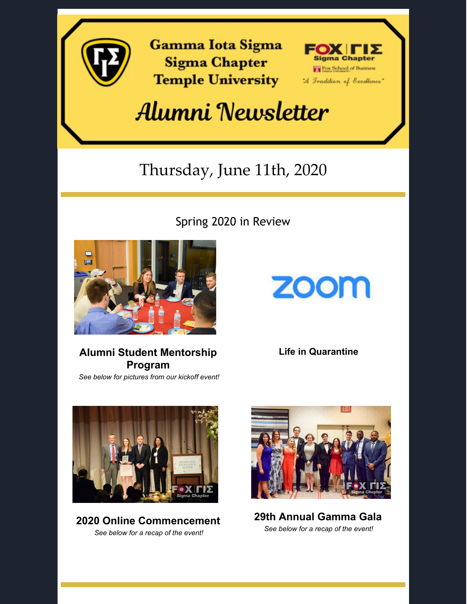

**Gamma Iota Sigma Sigma Chapter Temple University** 



## Alumni Newsletter

### Thursday, June 11th, 2020

Spring 2020 in Review



### **Alumni Student Mentorship Program**

*See below for pictures from our kickoff event!*

# **ZOOM**

**Life in Quarantine**



**2020 Online Commencement** *See below for a recap of the event!*



**29th Annual Gamma Gala** *See below for a recap of the event!*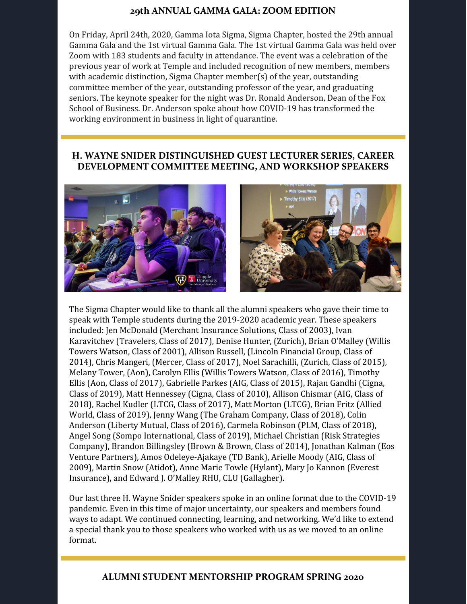#### **29th ANNUAL GAMMA GALA: ZOOM EDITION**

On Friday, April 24th, 2020, Gamma Iota Sigma, Sigma Chapter, hosted the 29th annual Gamma Gala and the 1st virtual Gamma Gala. The 1st virtual Gamma Gala was held over Zoom with 183 students and faculty in attendance. The event was a celebration of the previous year of work at Temple and included recognition of new members, members with academic distinction, Sigma Chapter member(s) of the year, outstanding committee member of the year, outstanding professor of the year, and graduating seniors. The keynote speaker for the night was Dr. Ronald Anderson, Dean of the Fox School of Business. Dr. Anderson spoke about how COVID-19 has transformed the working environment in business in light of quarantine.

#### **H. WAYNE SNIDER DISTINGUISHED GUEST LECTURER SERIES, CAREER DEVELOPMENT COMMITTEE MEETING, AND WORKSHOP SPEAKERS**



The Sigma Chapter would like to thank all the alumni speakers who gave their time to speak with Temple students during the 2019-2020 academic year. These speakers included: Jen McDonald (Merchant Insurance Solutions, Class of 2003), Ivan Karavitchev (Travelers, Class of 2017), Denise Hunter, (Zurich), Brian O'Malley (Willis Towers Watson, Class of 2001), Allison Russell, (Lincoln Financial Group, Class of 2014), Chris Mangeri, (Mercer, Class of 2017), Noel Sarachilli, (Zurich, Class of 2015), Melany Tower, (Aon), Carolyn Ellis (Willis Towers Watson, Class of 2016), Timothy Ellis (Aon, Class of 2017), Gabrielle Parkes (AIG, Class of 2015), Rajan Gandhi (Cigna, Class of 2019), Matt Hennessey (Cigna, Class of 2010), Allison Chismar (AIG, Class of 2018), Rachel Kudler (LTCG, Class of 2017), Matt Morton (LTCG), Brian Fritz (Allied World, Class of 2019), Jenny Wang (The Graham Company, Class of 2018), Colin Anderson (Liberty Mutual, Class of 2016), Carmela Robinson (PLM, Class of 2018), Angel Song (Sompo International, Class of 2019), Michael Christian (Risk Strategies Company), Brandon Billingsley (Brown & Brown, Class of 2014), Jonathan Kalman (Eos Venture Partners), Amos Odeleye-Ajakaye (TD Bank), Arielle Moody (AIG, Class of 2009), Martin Snow (Atidot), Anne Marie Towle (Hylant), Mary Jo Kannon (Everest Insurance), and Edward J. O'Malley RHU, CLU (Gallagher).

Our last three H. Wayne Snider speakers spoke in an online format due to the COVID-19 pandemic. Even in this time of major uncertainty, our speakers and members found ways to adapt. We continued connecting, learning, and networking. We'd like to extend a special thank you to those speakers who worked with us as we moved to an online format.

#### **ALUMNI STUDENT MENTORSHIP PROGRAM SPRING 2020**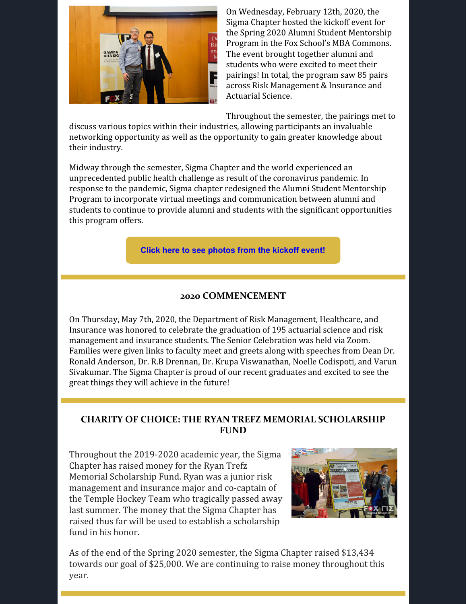

On Wednesday, February 12th, 2020, the Sigma Chapter hosted the kickoff event for the Spring 2020 Alumni Student Mentorship Program in the Fox School's MBA Commons. The event brought together alumni and students who were excited to meet their pairings! In total, the program saw 85 pairs across Risk Management & Insurance and Actuarial Science.

Throughout the semester, the pairings met to

discuss various topics within their industries, allowing participants an invaluable networking opportunity as well as the opportunity to gain greater knowledge about their industry.

Midway through the semester, Sigma Chapter and the world experienced an unprecedented public health challenge as result of the coronavirus pandemic. In response to the pandemic, Sigma chapter redesigned the Alumni Student Mentorship Program to incorporate virtual meetings and communication between alumni and students to continue to provide alumni and students with the significant opportunities this program offers.

#### **Click here to see [photos](http://www.sigmachapter.org/asmp-kickoff---021320.html) from the kickoff event!**

#### **2020 COMMENCEMENT**

On Thursday, May 7th, 2020, the Department of Risk Management, Healthcare, and Insurance was honored to celebrate the graduation of 195 actuarial science and risk management and insurance students. The Senior Celebration was held via Zoom. Families were given links to faculty meet and greets along with speeches from Dean Dr. Ronald Anderson, Dr. R.B Drennan, Dr. Krupa Viswanathan, Noelle Codispoti, and Varun Sivakumar. The Sigma Chapter is proud of our recent graduates and excited to see the great things they will achieve in the future!

#### **CHARITY OF CHOICE: THE RYAN TREFZ MEMORIAL SCHOLARSHIP FUND**

Throughout the 2019-2020 academic year, the Sigma Chapter has raised money for the Ryan Trefz Memorial Scholarship Fund. Ryan was a junior risk management and insurance major and co-captain of the Temple Hockey Team who tragically passed away last summer. The money that the Sigma Chapter has raised thus far will be used to establish a scholarship fund in his honor.



As of the end of the Spring 2020 semester, the Sigma Chapter raised \$13,434 towards our goal of \$25,000. We are continuing to raise money throughout this year.